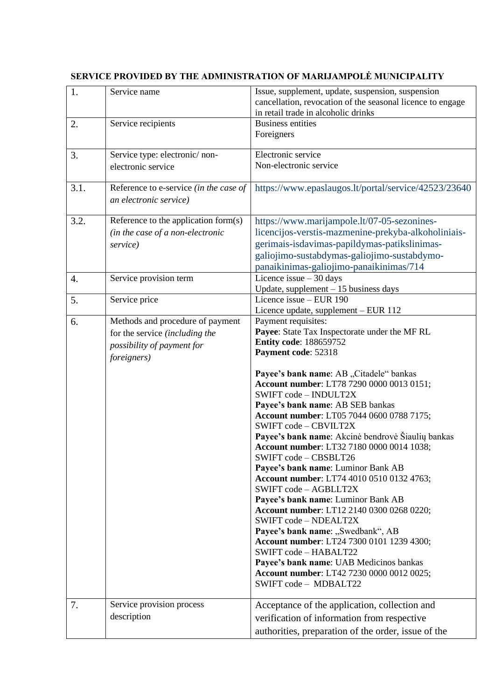| 1.   | Service name                                                                                                            | Issue, supplement, update, suspension, suspension<br>cancellation, revocation of the seasonal licence to engage<br>in retail trade in alcoholic drinks                                                                                                                                                                                                                                                                                                                                                                                                                                                                                                                                                                                                                                                                                                                                                                                               |
|------|-------------------------------------------------------------------------------------------------------------------------|------------------------------------------------------------------------------------------------------------------------------------------------------------------------------------------------------------------------------------------------------------------------------------------------------------------------------------------------------------------------------------------------------------------------------------------------------------------------------------------------------------------------------------------------------------------------------------------------------------------------------------------------------------------------------------------------------------------------------------------------------------------------------------------------------------------------------------------------------------------------------------------------------------------------------------------------------|
| 2.   | Service recipients                                                                                                      | <b>Business entities</b><br>Foreigners                                                                                                                                                                                                                                                                                                                                                                                                                                                                                                                                                                                                                                                                                                                                                                                                                                                                                                               |
| 3.   | Service type: electronic/non-<br>electronic service                                                                     | Electronic service<br>Non-electronic service                                                                                                                                                                                                                                                                                                                                                                                                                                                                                                                                                                                                                                                                                                                                                                                                                                                                                                         |
| 3.1. | Reference to e-service (in the case of<br>an electronic service)                                                        | https://www.epaslaugos.lt/portal/service/42523/23640                                                                                                                                                                                                                                                                                                                                                                                                                                                                                                                                                                                                                                                                                                                                                                                                                                                                                                 |
| 3.2. | Reference to the application form(s)<br>(in the case of a non-electronic<br>service)                                    | https://www.marijampole.lt/07-05-sezonines-<br>licencijos-verstis-mazmenine-prekyba-alkoholiniais-<br>gerimais-isdavimas-papildymas-patikslinimas-<br>galiojimo-sustabdymas-galiojimo-sustabdymo-<br>panaikinimas-galiojimo-panaikinimas/714                                                                                                                                                                                                                                                                                                                                                                                                                                                                                                                                                                                                                                                                                                         |
| 4.   | Service provision term                                                                                                  | Licence issue $-30$ days<br>Update, supplement $-15$ business days                                                                                                                                                                                                                                                                                                                                                                                                                                                                                                                                                                                                                                                                                                                                                                                                                                                                                   |
| 5.   | Service price                                                                                                           | Licence issue - EUR 190<br>Licence update, supplement - EUR 112                                                                                                                                                                                                                                                                                                                                                                                                                                                                                                                                                                                                                                                                                                                                                                                                                                                                                      |
| 6.   | Methods and procedure of payment<br>for the service (including the<br>possibility of payment for<br><i>foreigners</i> ) | Payment requisites:<br>Payee: State Tax Inspectorate under the MF RL<br><b>Entity code: 188659752</b><br>Payment code: 52318<br>Payee's bank name: AB "Citadele" bankas<br>Account number: LT78 7290 0000 0013 0151;<br>SWIFT code - INDULT2X<br>Payee's bank name: AB SEB bankas<br>Account number: LT05 7044 0600 0788 7175;<br>SWIFT code - CBVILT2X<br>Payee's bank name: Akcinė bendrovė Šiaulių bankas<br>Account number: LT32 7180 0000 0014 1038;<br>SWIFT code - CBSBLT26<br>Payee's bank name: Luminor Bank AB<br>Account number: LT74 4010 0510 0132 4763;<br>SWIFT code - AGBLLT2X<br>Payee's bank name: Luminor Bank AB<br>Account number: LT12 2140 0300 0268 0220;<br>SWIFT code - NDEALT2X<br>Payee's bank name: "Swedbank", AB<br><b>Account number: LT24 7300 0101 1239 4300;</b><br>SWIFT code - HABALT22<br>Payee's bank name: UAB Medicinos bankas<br><b>Account number:</b> LT42 7230 0000 0012 0025;<br>SWIFT code - MDBALT22 |
| 7.   | Service provision process<br>description                                                                                | Acceptance of the application, collection and<br>verification of information from respective<br>authorities, preparation of the order, issue of the                                                                                                                                                                                                                                                                                                                                                                                                                                                                                                                                                                                                                                                                                                                                                                                                  |

## **SERVICE PROVIDED BY THE ADMINISTRATION OF MARIJAMPOLĖ MUNICIPALITY**